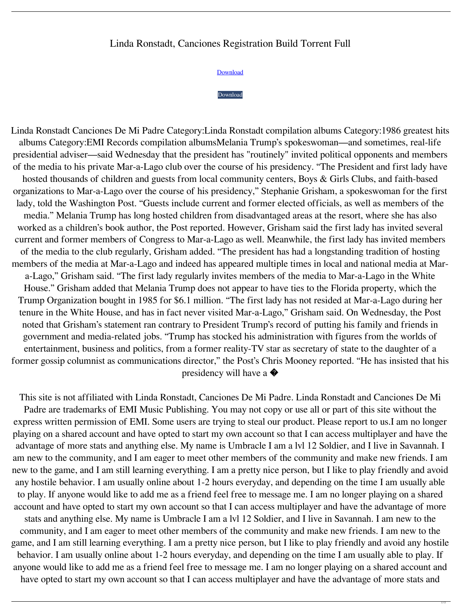## Linda Ronstadt, Canciones Registration Build Torrent Full

[Download](http://evacdir.com/adas/apartotel/jakubowski.occular/TGluZGEgUm9uc3RhZHQsIENhbmNpb25lcyBEZSBNaSBQYWRyZSBmdWxsIGFsYnVtIHppcATGl.celts/ZG93bmxvYWR8ZDN0TVRWNGVIeDhNVFkxTWpjME1EZzJObng4TWpVM05IeDhLRTBwSUhKbFlXUXRZbXh2WnlCYlJtRnpkQ0JIUlU1ZA)

## [Download](http://evacdir.com/adas/apartotel/jakubowski.occular/TGluZGEgUm9uc3RhZHQsIENhbmNpb25lcyBEZSBNaSBQYWRyZSBmdWxsIGFsYnVtIHppcATGl.celts/ZG93bmxvYWR8ZDN0TVRWNGVIeDhNVFkxTWpjME1EZzJObng4TWpVM05IeDhLRTBwSUhKbFlXUXRZbXh2WnlCYlJtRnpkQ0JIUlU1ZA)

Linda Ronstadt Canciones De Mi Padre Category:Linda Ronstadt compilation albums Category:1986 greatest hits albums Category:EMI Records compilation albumsMelania Trump's spokeswoman—and sometimes, real-life presidential adviser—said Wednesday that the president has "routinely" invited political opponents and members of the media to his private Mar-a-Lago club over the course of his presidency. "The President and first lady have hosted thousands of children and guests from local community centers, Boys & Girls Clubs, and faith-based organizations to Mar-a-Lago over the course of his presidency," Stephanie Grisham, a spokeswoman for the first lady, told the Washington Post. "Guests include current and former elected officials, as well as members of the media." Melania Trump has long hosted children from disadvantaged areas at the resort, where she has also worked as a children's book author, the Post reported. However, Grisham said the first lady has invited several current and former members of Congress to Mar-a-Lago as well. Meanwhile, the first lady has invited members of the media to the club regularly, Grisham added. "The president has had a longstanding tradition of hosting members of the media at Mar-a-Lago and indeed has appeared multiple times in local and national media at Mara-Lago," Grisham said. "The first lady regularly invites members of the media to Mar-a-Lago in the White House." Grisham added that Melania Trump does not appear to have ties to the Florida property, which the Trump Organization bought in 1985 for \$6.1 million. "The first lady has not resided at Mar-a-Lago during her tenure in the White House, and has in fact never visited Mar-a-Lago," Grisham said. On Wednesday, the Post noted that Grisham's statement ran contrary to President Trump's record of putting his family and friends in government and media-related jobs. "Trump has stocked his administration with figures from the worlds of entertainment, business and politics, from a former reality-TV star as secretary of state to the daughter of a former gossip columnist as communications director," the Post's Chris Mooney reported. "He has insisted that his presidency will have a �

This site is not affiliated with Linda Ronstadt, Canciones De Mi Padre. Linda Ronstadt and Canciones De Mi Padre are trademarks of EMI Music Publishing. You may not copy or use all or part of this site without the express written permission of EMI. Some users are trying to steal our product. Please report to us.I am no longer playing on a shared account and have opted to start my own account so that I can access multiplayer and have the advantage of more stats and anything else. My name is Umbracle I am a lvl 12 Soldier, and I live in Savannah. I am new to the community, and I am eager to meet other members of the community and make new friends. I am new to the game, and I am still learning everything. I am a pretty nice person, but I like to play friendly and avoid any hostile behavior. I am usually online about 1-2 hours everyday, and depending on the time I am usually able to play. If anyone would like to add me as a friend feel free to message me. I am no longer playing on a shared account and have opted to start my own account so that I can access multiplayer and have the advantage of more stats and anything else. My name is Umbracle I am a lvl 12 Soldier, and I live in Savannah. I am new to the community, and I am eager to meet other members of the community and make new friends. I am new to the game, and I am still learning everything. I am a pretty nice person, but I like to play friendly and avoid any hostile behavior. I am usually online about 1-2 hours everyday, and depending on the time I am usually able to play. If anyone would like to add me as a friend feel free to message me. I am no longer playing on a shared account and have opted to start my own account so that I can access multiplayer and have the advantage of more stats and